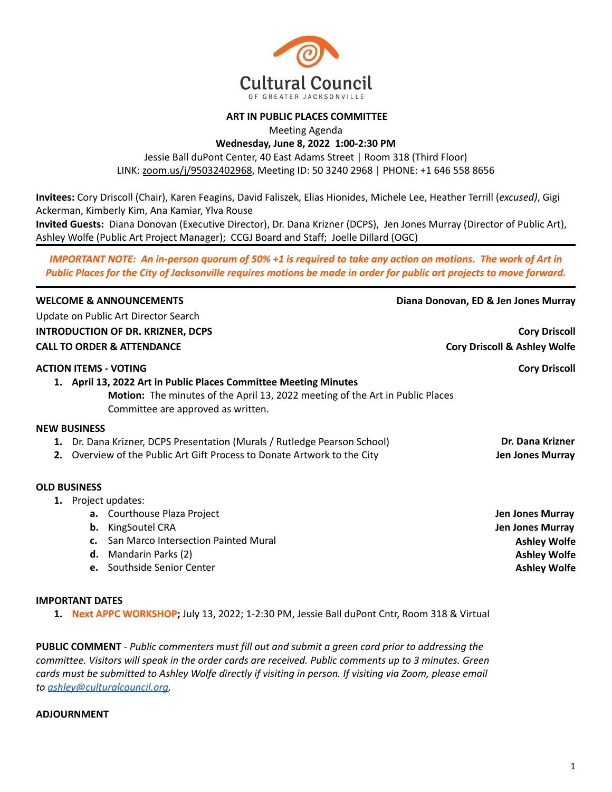

#### **ART IN PUBLIC PLACES COMMITTEE**

Meeting Agenda

**Wednesday, June 8, 2022 1:00-2:30 PM**

Jessie Ball duPont Center, 40 East Adams Street | Room 318 (Third Floor) LINK: [zoom.us/j/95032402968](https://zoom.us/j/95032402968), Meeting ID: 50 3240 2968 | PHONE: +1 646 558 8656

**Invitees:** Cory Driscoll (Chair), Karen Feagins, David Faliszek, Elias Hionides, Michele Lee, Heather Terrill (*excused)*, Gigi Ackerman, Kimberly Kim, Ana Kamiar, Ylva Rouse

**Invited Guests:** Diana Donovan (Executive Director), Dr. Dana Krizner (DCPS), Jen Jones Murray (Director of Public Art), Ashley Wolfe (Public Art Project Manager); CCGJ Board and Staff; Joelle Dillard (OGC)

*IMPORTANT NOTE: An in-person quorum of 50% +1 is required to take any action on motions. The work of Art in Public Places for the City of Jacksonville requires motions be made in order for public art projects to move forward.*

| <b>WELCOME &amp; ANNOUNCEMENTS</b>                                                   | Diana Donovan, ED & Jen Jones Murray    |
|--------------------------------------------------------------------------------------|-----------------------------------------|
| Update on Public Art Director Search                                                 |                                         |
| <b>INTRODUCTION OF DR. KRIZNER, DCPS</b>                                             | <b>Cory Driscoll</b>                    |
| <b>CALL TO ORDER &amp; ATTENDANCE</b>                                                | <b>Cory Driscoll &amp; Ashley Wolfe</b> |
| <b>ACTION ITEMS - VOTING</b>                                                         | <b>Cory Driscoll</b>                    |
| 1. April 13, 2022 Art in Public Places Committee Meeting Minutes                     |                                         |
| <b>Motion:</b> The minutes of the April 13, 2022 meeting of the Art in Public Places |                                         |
| Committee are approved as written.                                                   |                                         |
| <b>NEW BUSINESS</b>                                                                  |                                         |
| 1. Dr. Dana Krizner, DCPS Presentation (Murals / Rutledge Pearson School)            | Dr. Dana Krizner                        |
| Overview of the Public Art Gift Process to Donate Artwork to the City                | <b>Jen Jones Murray</b>                 |
| <b>OLD BUSINESS</b>                                                                  |                                         |
| 1. Project updates:                                                                  |                                         |
| <b>a.</b> Courthouse Plaza Project                                                   | <b>Jen Jones Murray</b>                 |
| <b>KingSoutel CRA</b><br>b.                                                          | Jen Jones Murray                        |
| San Marco Intersection Painted Mural<br>c.                                           | <b>Ashley Wolfe</b>                     |
| Mandarin Parks (2)<br>d.                                                             | <b>Ashley Wolfe</b>                     |
| e. Southside Senior Center                                                           | <b>Ashley Wolfe</b>                     |

#### **IMPORTANT DATES**

**1. Next APPC WORKSHOP;** July 13, 2022; 1-2:30 PM, Jessie Ball duPont Cntr, Room 318 & Virtual

**PUBLIC COMMENT** *- Public commenters must fill out and submit a green card prior to addressing the committee. Visitors will speak in the order cards are received. Public comments up to 3 minutes. Green cards must be submitted to Ashley Wolfe directly if visiting in person. If visiting via Zoom, please email to [ashley@culturalcouncil.org.](mailto:ashley@culturalcouncil.org)*

#### **ADJOURNMENT**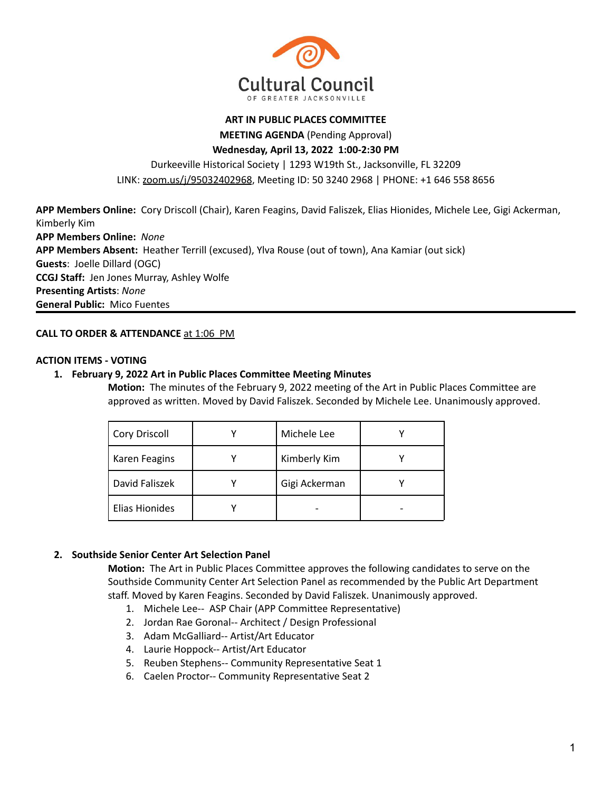

#### **ART IN PUBLIC PLACES COMMITTEE**

**MEETING AGENDA** (Pending Approval)

**Wednesday, April 13, 2022 1:00-2:30 PM**

Durkeeville Historical Society | 1293 W19th St., Jacksonville, FL 32209

LINK: [zoom.us/j/95032402968](https://zoom.us/j/95032402968), Meeting ID: 50 3240 2968 | PHONE: +1 646 558 8656

**APP Members Online:** Cory Driscoll (Chair), Karen Feagins, David Faliszek, Elias Hionides, Michele Lee, Gigi Ackerman, Kimberly Kim **APP Members Online:** *None* **APP Members Absent:** Heather Terrill (excused), Ylva Rouse (out of town), Ana Kamiar (out sick) **Guests**: Joelle Dillard (OGC) **CCGJ Staff:** Jen Jones Murray, Ashley Wolfe **Presenting Artists**: *None* **General Public:** Mico Fuentes

## **CALL TO ORDER & ATTENDANCE** at 1:06 PM

#### **ACTION ITEMS - VOTING**

#### **1. February 9, 2022 Art in Public Places Committee Meeting Minutes**

**Motion:** The minutes of the February 9, 2022 meeting of the Art in Public Places Committee are approved as written. Moved by David Faliszek. Seconded by Michele Lee. Unanimously approved.

| Cory Driscoll  | Michele Lee   |  |
|----------------|---------------|--|
| Karen Feagins  | Kimberly Kim  |  |
| David Faliszek | Gigi Ackerman |  |
| Elias Hionides |               |  |

## **2. Southside Senior Center Art Selection Panel**

**Motion:** The Art in Public Places Committee approves the following candidates to serve on the Southside Community Center Art Selection Panel as recommended by the Public Art Department staff. Moved by Karen Feagins. Seconded by David Faliszek. Unanimously approved.

- 1. Michele Lee-- ASP Chair (APP Committee Representative)
- 2. Jordan Rae Goronal-- Architect / Design Professional
- 3. Adam McGalliard-- Artist/Art Educator
- 4. Laurie Hoppock-- Artist/Art Educator
- 5. Reuben Stephens-- Community Representative Seat 1
- 6. Caelen Proctor-- Community Representative Seat 2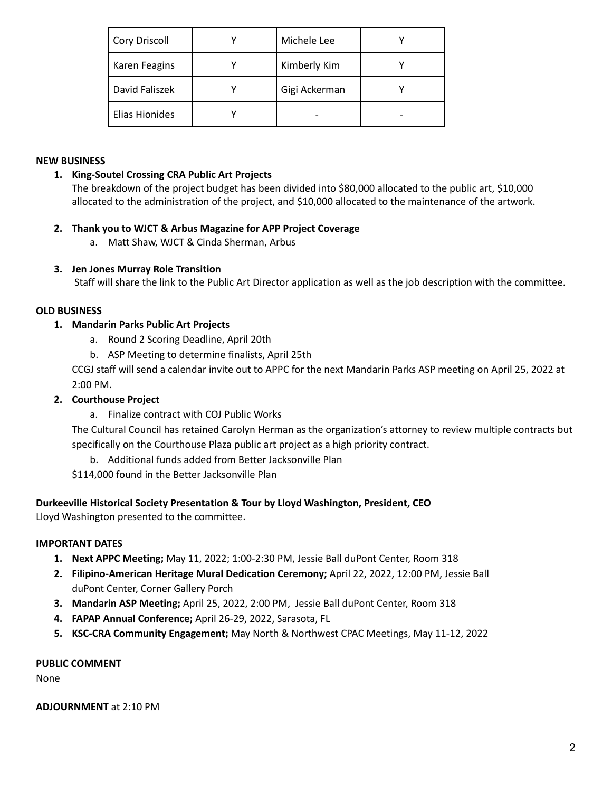| <b>Cory Driscoll</b> | Michele Lee   |  |
|----------------------|---------------|--|
| Karen Feagins        | Kimberly Kim  |  |
| David Faliszek       | Gigi Ackerman |  |
| Elias Hionides       |               |  |

## **NEW BUSINESS**

## **1. King-Soutel Crossing CRA Public Art Projects**

The breakdown of the project budget has been divided into \$80,000 allocated to the public art, \$10,000 allocated to the administration of the project, and \$10,000 allocated to the maintenance of the artwork.

## **2. Thank you to WJCT & Arbus Magazine for APP Project Coverage**

a. Matt Shaw, WJCT & Cinda Sherman, Arbus

## **3. Jen Jones Murray Role Transition**

Staff will share the link to the Public Art Director application as well as the job description with the committee.

## **OLD BUSINESS**

## **1. Mandarin Parks Public Art Projects**

- a. Round 2 Scoring Deadline, April 20th
- b. ASP Meeting to determine finalists, April 25th

CCGJ staff will send a calendar invite out to APPC for the next Mandarin Parks ASP meeting on April 25, 2022 at 2:00 PM.

## **2. Courthouse Project**

a. Finalize contract with COJ Public Works

The Cultural Council has retained Carolyn Herman as the organization's attorney to review multiple contracts but specifically on the Courthouse Plaza public art project as a high priority contract.

b. Additional funds added from Better Jacksonville Plan

\$114,000 found in the Better Jacksonville Plan

## **Durkeeville Historical Society Presentation & Tour by Lloyd Washington, President, CEO**

Lloyd Washington presented to the committee.

## **IMPORTANT DATES**

- **1. Next APPC Meeting;** May 11, 2022; 1:00-2:30 PM, Jessie Ball duPont Center, Room 318
- **2. Filipino-American Heritage Mural Dedication Ceremony;** April 22, 2022, 12:00 PM, Jessie Ball duPont Center, Corner Gallery Porch
- **3. Mandarin ASP Meeting;** April 25, 2022, 2:00 PM, Jessie Ball duPont Center, Room 318
- **4. FAPAP Annual Conference;** April 26-29, 2022, Sarasota, FL
- **5. KSC-CRA Community Engagement;** May North & Northwest CPAC Meetings, May 11-12, 2022

#### **PUBLIC COMMENT**

None

**ADJOURNMENT** at 2:10 PM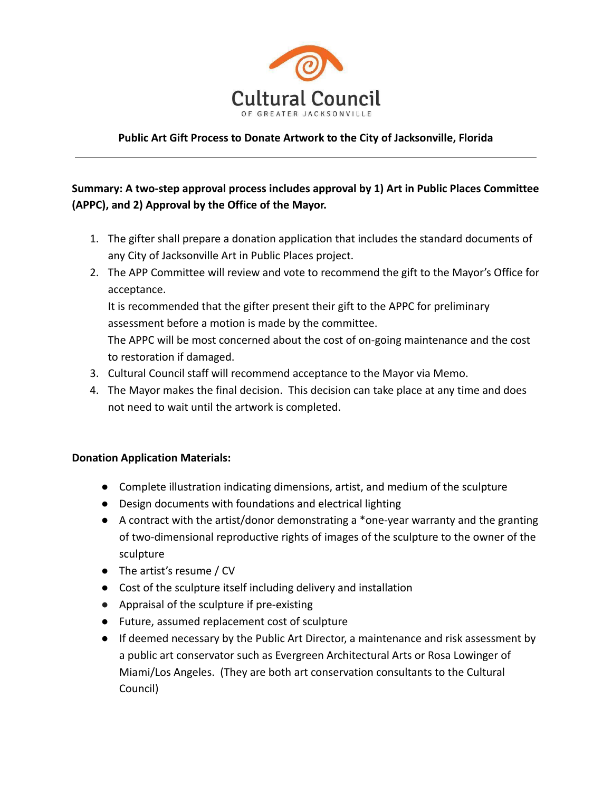

## **Public Art Gift Process to Donate Artwork to the City of Jacksonville, Florida**

# **Summary: A two-step approval process includes approval by 1) Art in Public Places Committee (APPC), and 2) Approval by the Office of the Mayor.**

- 1. The gifter shall prepare a donation application that includes the standard documents of any City of Jacksonville Art in Public Places project.
- 2. The APP Committee will review and vote to recommend the gift to the Mayor's Office for acceptance.

It is recommended that the gifter present their gift to the APPC for preliminary assessment before a motion is made by the committee.

The APPC will be most concerned about the cost of on-going maintenance and the cost to restoration if damaged.

- 3. Cultural Council staff will recommend acceptance to the Mayor via Memo.
- 4. The Mayor makes the final decision. This decision can take place at any time and does not need to wait until the artwork is completed.

## **Donation Application Materials:**

- Complete illustration indicating dimensions, artist, and medium of the sculpture
- Design documents with foundations and electrical lighting
- A contract with the artist/donor demonstrating a \*one-year warranty and the granting of two-dimensional reproductive rights of images of the sculpture to the owner of the sculpture
- The artist's resume / CV
- Cost of the sculpture itself including delivery and installation
- Appraisal of the sculpture if pre-existing
- Future, assumed replacement cost of sculpture
- If deemed necessary by the Public Art Director, a maintenance and risk assessment by a public art conservator such as Evergreen Architectural Arts or Rosa Lowinger of Miami/Los Angeles. (They are both art conservation consultants to the Cultural Council)